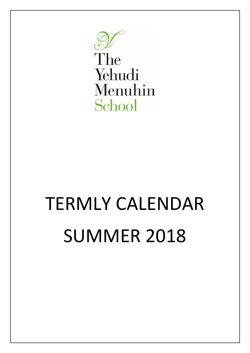

The Yehudi Menuhin School

## TERMLY CALENDAR SUMMER 2018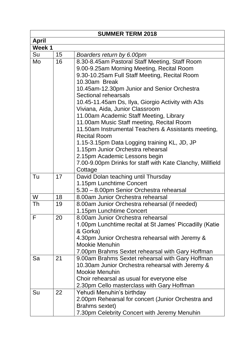| <b>SUMMER TERM 2018</b>         |                                  |                                                                                                                                                                                                                                                                                                                                                                                                                                                                                                                                                                                                                                                                                                                                                                                                                                                                                                                                                                                                                                                                                                                                                                                                                                  |
|---------------------------------|----------------------------------|----------------------------------------------------------------------------------------------------------------------------------------------------------------------------------------------------------------------------------------------------------------------------------------------------------------------------------------------------------------------------------------------------------------------------------------------------------------------------------------------------------------------------------------------------------------------------------------------------------------------------------------------------------------------------------------------------------------------------------------------------------------------------------------------------------------------------------------------------------------------------------------------------------------------------------------------------------------------------------------------------------------------------------------------------------------------------------------------------------------------------------------------------------------------------------------------------------------------------------|
| <b>April</b>                    |                                  |                                                                                                                                                                                                                                                                                                                                                                                                                                                                                                                                                                                                                                                                                                                                                                                                                                                                                                                                                                                                                                                                                                                                                                                                                                  |
| Week 1                          |                                  |                                                                                                                                                                                                                                                                                                                                                                                                                                                                                                                                                                                                                                                                                                                                                                                                                                                                                                                                                                                                                                                                                                                                                                                                                                  |
| Su                              | 15                               | Boarders return by 6.00pm                                                                                                                                                                                                                                                                                                                                                                                                                                                                                                                                                                                                                                                                                                                                                                                                                                                                                                                                                                                                                                                                                                                                                                                                        |
| Mo                              | 16                               | 8.30-8.45am Pastoral Staff Meeting, Staff Room                                                                                                                                                                                                                                                                                                                                                                                                                                                                                                                                                                                                                                                                                                                                                                                                                                                                                                                                                                                                                                                                                                                                                                                   |
|                                 |                                  | 9.00-9.25am Morning Meeting, Recital Room                                                                                                                                                                                                                                                                                                                                                                                                                                                                                                                                                                                                                                                                                                                                                                                                                                                                                                                                                                                                                                                                                                                                                                                        |
|                                 |                                  | 9.30-10.25am Full Staff Meeting, Recital Room                                                                                                                                                                                                                                                                                                                                                                                                                                                                                                                                                                                                                                                                                                                                                                                                                                                                                                                                                                                                                                                                                                                                                                                    |
|                                 |                                  | 10.30am Break                                                                                                                                                                                                                                                                                                                                                                                                                                                                                                                                                                                                                                                                                                                                                                                                                                                                                                                                                                                                                                                                                                                                                                                                                    |
|                                 |                                  | 10.45am-12.30pm Junior and Senior Orchestra                                                                                                                                                                                                                                                                                                                                                                                                                                                                                                                                                                                                                                                                                                                                                                                                                                                                                                                                                                                                                                                                                                                                                                                      |
|                                 |                                  | Sectional rehearsals                                                                                                                                                                                                                                                                                                                                                                                                                                                                                                                                                                                                                                                                                                                                                                                                                                                                                                                                                                                                                                                                                                                                                                                                             |
|                                 |                                  |                                                                                                                                                                                                                                                                                                                                                                                                                                                                                                                                                                                                                                                                                                                                                                                                                                                                                                                                                                                                                                                                                                                                                                                                                                  |
|                                 |                                  | Viviana, Aida, Junior Classroom                                                                                                                                                                                                                                                                                                                                                                                                                                                                                                                                                                                                                                                                                                                                                                                                                                                                                                                                                                                                                                                                                                                                                                                                  |
|                                 |                                  |                                                                                                                                                                                                                                                                                                                                                                                                                                                                                                                                                                                                                                                                                                                                                                                                                                                                                                                                                                                                                                                                                                                                                                                                                                  |
|                                 |                                  | 11.00am Music Staff meeting, Recital Room                                                                                                                                                                                                                                                                                                                                                                                                                                                                                                                                                                                                                                                                                                                                                                                                                                                                                                                                                                                                                                                                                                                                                                                        |
|                                 |                                  |                                                                                                                                                                                                                                                                                                                                                                                                                                                                                                                                                                                                                                                                                                                                                                                                                                                                                                                                                                                                                                                                                                                                                                                                                                  |
|                                 |                                  |                                                                                                                                                                                                                                                                                                                                                                                                                                                                                                                                                                                                                                                                                                                                                                                                                                                                                                                                                                                                                                                                                                                                                                                                                                  |
|                                 |                                  |                                                                                                                                                                                                                                                                                                                                                                                                                                                                                                                                                                                                                                                                                                                                                                                                                                                                                                                                                                                                                                                                                                                                                                                                                                  |
|                                 |                                  |                                                                                                                                                                                                                                                                                                                                                                                                                                                                                                                                                                                                                                                                                                                                                                                                                                                                                                                                                                                                                                                                                                                                                                                                                                  |
|                                 |                                  |                                                                                                                                                                                                                                                                                                                                                                                                                                                                                                                                                                                                                                                                                                                                                                                                                                                                                                                                                                                                                                                                                                                                                                                                                                  |
|                                 |                                  |                                                                                                                                                                                                                                                                                                                                                                                                                                                                                                                                                                                                                                                                                                                                                                                                                                                                                                                                                                                                                                                                                                                                                                                                                                  |
|                                 |                                  |                                                                                                                                                                                                                                                                                                                                                                                                                                                                                                                                                                                                                                                                                                                                                                                                                                                                                                                                                                                                                                                                                                                                                                                                                                  |
|                                 |                                  |                                                                                                                                                                                                                                                                                                                                                                                                                                                                                                                                                                                                                                                                                                                                                                                                                                                                                                                                                                                                                                                                                                                                                                                                                                  |
|                                 |                                  |                                                                                                                                                                                                                                                                                                                                                                                                                                                                                                                                                                                                                                                                                                                                                                                                                                                                                                                                                                                                                                                                                                                                                                                                                                  |
|                                 |                                  |                                                                                                                                                                                                                                                                                                                                                                                                                                                                                                                                                                                                                                                                                                                                                                                                                                                                                                                                                                                                                                                                                                                                                                                                                                  |
|                                 |                                  |                                                                                                                                                                                                                                                                                                                                                                                                                                                                                                                                                                                                                                                                                                                                                                                                                                                                                                                                                                                                                                                                                                                                                                                                                                  |
|                                 |                                  |                                                                                                                                                                                                                                                                                                                                                                                                                                                                                                                                                                                                                                                                                                                                                                                                                                                                                                                                                                                                                                                                                                                                                                                                                                  |
|                                 |                                  |                                                                                                                                                                                                                                                                                                                                                                                                                                                                                                                                                                                                                                                                                                                                                                                                                                                                                                                                                                                                                                                                                                                                                                                                                                  |
|                                 |                                  |                                                                                                                                                                                                                                                                                                                                                                                                                                                                                                                                                                                                                                                                                                                                                                                                                                                                                                                                                                                                                                                                                                                                                                                                                                  |
|                                 |                                  |                                                                                                                                                                                                                                                                                                                                                                                                                                                                                                                                                                                                                                                                                                                                                                                                                                                                                                                                                                                                                                                                                                                                                                                                                                  |
|                                 |                                  |                                                                                                                                                                                                                                                                                                                                                                                                                                                                                                                                                                                                                                                                                                                                                                                                                                                                                                                                                                                                                                                                                                                                                                                                                                  |
|                                 |                                  |                                                                                                                                                                                                                                                                                                                                                                                                                                                                                                                                                                                                                                                                                                                                                                                                                                                                                                                                                                                                                                                                                                                                                                                                                                  |
|                                 |                                  |                                                                                                                                                                                                                                                                                                                                                                                                                                                                                                                                                                                                                                                                                                                                                                                                                                                                                                                                                                                                                                                                                                                                                                                                                                  |
|                                 |                                  |                                                                                                                                                                                                                                                                                                                                                                                                                                                                                                                                                                                                                                                                                                                                                                                                                                                                                                                                                                                                                                                                                                                                                                                                                                  |
|                                 |                                  |                                                                                                                                                                                                                                                                                                                                                                                                                                                                                                                                                                                                                                                                                                                                                                                                                                                                                                                                                                                                                                                                                                                                                                                                                                  |
|                                 |                                  |                                                                                                                                                                                                                                                                                                                                                                                                                                                                                                                                                                                                                                                                                                                                                                                                                                                                                                                                                                                                                                                                                                                                                                                                                                  |
|                                 |                                  |                                                                                                                                                                                                                                                                                                                                                                                                                                                                                                                                                                                                                                                                                                                                                                                                                                                                                                                                                                                                                                                                                                                                                                                                                                  |
|                                 |                                  |                                                                                                                                                                                                                                                                                                                                                                                                                                                                                                                                                                                                                                                                                                                                                                                                                                                                                                                                                                                                                                                                                                                                                                                                                                  |
|                                 |                                  |                                                                                                                                                                                                                                                                                                                                                                                                                                                                                                                                                                                                                                                                                                                                                                                                                                                                                                                                                                                                                                                                                                                                                                                                                                  |
|                                 |                                  |                                                                                                                                                                                                                                                                                                                                                                                                                                                                                                                                                                                                                                                                                                                                                                                                                                                                                                                                                                                                                                                                                                                                                                                                                                  |
|                                 |                                  |                                                                                                                                                                                                                                                                                                                                                                                                                                                                                                                                                                                                                                                                                                                                                                                                                                                                                                                                                                                                                                                                                                                                                                                                                                  |
|                                 |                                  |                                                                                                                                                                                                                                                                                                                                                                                                                                                                                                                                                                                                                                                                                                                                                                                                                                                                                                                                                                                                                                                                                                                                                                                                                                  |
| Tu<br>W<br>Th<br>F.<br>Sa<br>Su | 17<br>18<br>19<br>20<br>21<br>22 | 10.45-11.45am Ds, Ilya, Giorgio Activity with A3s<br>11.00am Academic Staff Meeting, Library<br>11.50am Instrumental Teachers & Assistants meeting,<br><b>Recital Room</b><br>1.15-3.15pm Data Logging training KL, JD, JP<br>1.15pm Junior Orchestra rehearsal<br>2.15pm Academic Lessons begin<br>7.00-9.00pm Drinks for staff with Kate Clanchy, Millfield<br>Cottage<br>David Dolan teaching until Thursday<br>1.15pm Lunchtime Concert<br>5.30 - 8.00pm Senior Orchestra rehearsal<br>8.00am Junior Orchestra rehearsal<br>8.00am Junior Orchestra rehearsal (if needed)<br>1.15pm Lunchtime Concert<br>8.00am Junior Orchestra rehearsal<br>1.00pm Lunchtime recital at St James' Piccadilly (Katie<br>& Gorka)<br>4.30pm Junior Orchestra rehearsal with Jeremy &<br><b>Mookie Menuhin</b><br>7.00pm Brahms Sextet rehearsal with Gary Hoffman<br>9.00am Brahms Sextet rehearsal with Gary Hoffman<br>10.30am Junior Orchestra rehearsal with Jeremy &<br>Mookie Menuhin<br>Choir rehearsal as usual for everyone else<br>2.30pm Cello masterclass with Gary Hoffman<br>Yehudi Menuhin's birthday<br>2.00pm Rehearsal for concert (Junior Orchestra and<br>Brahms sextet)<br>7.30pm Celebrity Concert with Jeremy Menuhin |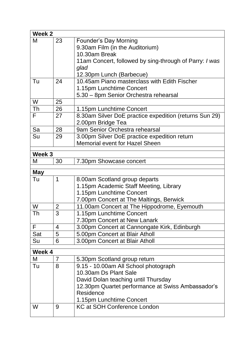| Week 2     |                |                                                        |  |
|------------|----------------|--------------------------------------------------------|--|
| M          | 23             | <b>Founder's Day Morning</b>                           |  |
|            |                | 9.30am Film (in the Auditorium)                        |  |
|            |                | 10.30am Break                                          |  |
|            |                | 11am Concert, followed by sing-through of Parry: I was |  |
|            |                | glad                                                   |  |
|            |                | 12.30pm Lunch (Barbecue)                               |  |
| Tu         | 24             | 10.45am Piano masterclass with Edith Fischer           |  |
|            |                | 1.15pm Lunchtime Concert                               |  |
|            |                | 5.30 - 8pm Senior Orchestra rehearsal                  |  |
| W          | 25             |                                                        |  |
| Th         | 26             | 1.15pm Lunchtime Concert                               |  |
| F          | 27             | 8.30am Silver DoE practice expedition (returns Sun 29) |  |
|            |                | 2.00pm Bridge Tea                                      |  |
| Sa         | 28             | 9am Senior Orchestra rehearsal                         |  |
| Su         | 29             | 3.00pm Silver DoE practice expedition return           |  |
|            |                | <b>Memorial event for Hazel Sheen</b>                  |  |
| Week 3     |                |                                                        |  |
|            | 30             |                                                        |  |
| M          |                | 7.30pm Showcase concert                                |  |
| <b>May</b> |                |                                                        |  |
| Tu         | 1              | 8.00am Scotland group departs                          |  |
|            |                | 1.15pm Academic Staff Meeting, Library                 |  |
|            |                | 1.15pm Lunchtime Concert                               |  |
|            |                | 7.00pm Concert at The Maltings, Berwick                |  |
| W          | $\overline{2}$ | 11.00am Concert at The Hippodrome, Eyemouth            |  |
| Th         | 3              | 1.15pm Lunchtime Concert                               |  |
|            |                | 7.30pm Concert at New Lanark                           |  |
| F          | 4              | 3.00pm Concert at Cannongate Kirk, Edinburgh           |  |
| Sat        | 5              | 5.00pm Concert at Blair Atholl                         |  |
| Su         | 6              | 3.00pm Concert at Blair Atholl                         |  |
| Week 4     |                |                                                        |  |
| M          | $\overline{7}$ | 5.30pm Scotland group return                           |  |
| Tu         | 8              | 9.15 - 10.00am All School photograph                   |  |
|            |                | 10.30am Ds Plant Sale                                  |  |
|            |                | David Dolan teaching until Thursday                    |  |
|            |                | 12.30pm Quartet performance at Swiss Ambassador's      |  |
|            |                | Residence                                              |  |
|            |                | 1.15pm Lunchtime Concert                               |  |
| W          | 9              | <b>KC at SOH Conference London</b>                     |  |
|            |                |                                                        |  |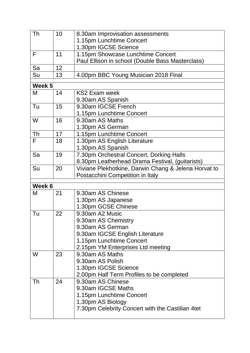| Th     | 10 | 8.30am Improvisation assessments                     |  |  |
|--------|----|------------------------------------------------------|--|--|
|        |    | 1.15pm Lunchtime Concert                             |  |  |
|        |    | 1.30pm IGCSE Science                                 |  |  |
| F      | 11 | 1.15pm Showcase Lunchtime Concert                    |  |  |
|        |    | Paul Ellison in school (Double Bass Masterclass)     |  |  |
| Sa     | 12 |                                                      |  |  |
| Su     | 13 | 4.00pm BBC Young Musician 2018 Final                 |  |  |
| Week 5 |    |                                                      |  |  |
| M      | 14 | KS2 Exam week                                        |  |  |
|        |    | 9.30am AS Spanish                                    |  |  |
| Tu     | 15 | 9.30am IGCSE French                                  |  |  |
|        |    | 1.15pm Lunchtime Concert                             |  |  |
| W      | 16 | 9.30am AS Maths                                      |  |  |
|        |    | 1.30pm AS German                                     |  |  |
| Th     | 17 | 1.15pm Lunchtime Concert                             |  |  |
| F      | 18 | 1.30pm AS English Literature                         |  |  |
|        |    | 1.30pm AS Spanish                                    |  |  |
| Sa     | 19 | 7.30pm Orchestral Concert, Dorking Halls             |  |  |
|        |    | 8.30pm Leatherhead Drama Festival, (guitarists)      |  |  |
| Su     | 20 | Viviane Plekhotkine, Darwin Chang & Jelena Horvat to |  |  |
|        |    | Postacchini Competition in Italy                     |  |  |
| Week 6 |    |                                                      |  |  |
| M      | 21 | 9.30am AS Chinese                                    |  |  |
|        |    |                                                      |  |  |
|        |    | 1.30pm AS Japanese<br>1.30pm GCSE Chinese            |  |  |
| Tu     | 22 | 9.30am A2 Music                                      |  |  |
|        |    | 9.30am AS Chemistry                                  |  |  |
|        |    | 9.30am AS German                                     |  |  |
|        |    | 9.30am IGCSE English Literature                      |  |  |
|        |    | 1.15pm Lunchtime Concert                             |  |  |
|        |    | 2.15pm YM Enterprises Ltd meeting                    |  |  |
| W      | 23 | 9.30am AS Maths                                      |  |  |
|        |    | 9.30am AS Polish                                     |  |  |
|        |    | 1.30pm IGCSE Science                                 |  |  |
|        |    | 2.00pm Half Term Profiles to be completed            |  |  |
| Th     | 24 | 9.30am AS Chinese                                    |  |  |
|        |    | 9.30am IGCSE Maths                                   |  |  |
|        |    | 1.15pm Lunchtime Concert                             |  |  |
|        |    | 1.30pm AS Biology                                    |  |  |
|        |    | 7.30pm Celebrity Concert with the Castilian 4tet     |  |  |
|        |    |                                                      |  |  |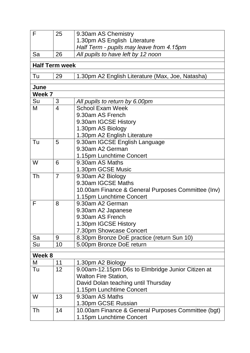| $\mathsf{F}$ | 25                    | 9.30am AS Chemistry                                |
|--------------|-----------------------|----------------------------------------------------|
|              |                       | 1.30pm AS English Literature                       |
|              |                       | Half Term - pupils may leave from 4.15pm           |
| Sa           | 26                    | All pupils to have left by 12 noon                 |
|              |                       |                                                    |
|              | <b>Half Term week</b> |                                                    |
| Tu           | 29                    | 1.30pm A2 English Literature (Max, Joe, Natasha)   |
| June         |                       |                                                    |
| Week 7       |                       |                                                    |
| Su           | 3                     | All pupils to return by 6.00pm                     |
| M            | 4                     | <b>School Exam Week</b>                            |
|              |                       | 9.30am AS French                                   |
|              |                       | 9.30am IGCSE History                               |
|              |                       | 1.30pm AS Biology                                  |
|              |                       | 1.30pm A2 English Literature                       |
| Tu           | 5                     | 9.30am IGCSE English Language                      |
|              |                       | 9.30am A2 German                                   |
|              |                       | 1.15pm Lunchtime Concert                           |
| W            | 6                     | 9.30am AS Maths                                    |
|              |                       | 1.30pm GCSE Music                                  |
| Th           | $\overline{7}$        | 9.30am A2 Biology                                  |
|              |                       | 9.30am IGCSE Maths                                 |
|              |                       | 10.00am Finance & General Purposes Committee (Inv) |
|              |                       | 1.15pm Lunchtime Concert                           |
| F            | 8                     | 9.30am A2 German                                   |
|              |                       | 9.30am A2 Japanese                                 |
|              |                       | 9.30am AS French                                   |
|              |                       | 1.30pm IGCSE History                               |
|              |                       | 7.30pm Showcase Concert                            |
| Sa           | 9                     | 8.30pm Bronze DoE practice (return Sun 10)         |
| Su           | 10                    | 5.00pm Bronze DoE return                           |
| Week 8       |                       |                                                    |
| M            | 11                    | 1.30pm A2 Biology                                  |
| Tu           | 12 <sup>2</sup>       | 9.00am-12.15pm D6s to Elmbridge Junior Citizen at  |
|              |                       | <b>Walton Fire Station,</b>                        |
|              |                       | David Dolan teaching until Thursday                |
|              |                       | 1.15pm Lunchtime Concert                           |
| W            | 13                    | 9.30am AS Maths                                    |
|              |                       | 1.30pm GCSE Russian                                |
| Th           | 14                    | 10.00am Finance & General Purposes Committee (bgt) |
|              |                       | 1.15pm Lunchtime Concert                           |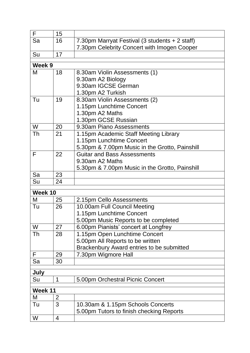| F       | 15 |                                                |
|---------|----|------------------------------------------------|
| Sa      | 16 | 7.30pm Marryat Festival (3 students + 2 staff) |
|         |    | 7.30pm Celebrity Concert with Imogen Cooper    |
| Su      | 17 |                                                |
|         |    |                                                |
| Week 9  |    |                                                |
| M       | 18 | 8.30am Violin Assessments (1)                  |
|         |    | 9.30am A2 Biology                              |
|         |    | 9.30am IGCSE German                            |
|         |    | 1.30pm A2 Turkish                              |
| Tu      | 19 | 8.30am Violin Assessments (2)                  |
|         |    | 1.15pm Lunchtime Concert                       |
|         |    | 1.30pm A2 Maths                                |
|         |    | 1.30pm GCSE Russian                            |
| W       | 20 | 9.30am Piano Assessments                       |
| Th      | 21 | 1.15pm Academic Staff Meeting Library          |
|         |    | 1.15pm Lunchtime Concert                       |
|         |    | 5.30pm & 7.00pm Music in the Grotto, Painshill |
| F       | 22 | <b>Guitar and Bass Assessments</b>             |
|         |    | 9.30am A2 Maths                                |
|         |    | 5.30pm & 7.00pm Music in the Grotto, Painshill |
| Sa      | 23 |                                                |
| Su      | 24 |                                                |
| Week 10 |    |                                                |
| M       | 25 | 2.15pm Cello Assessments                       |
| Tu      | 26 | 10.00am Full Council Meeting                   |
|         |    | 1.15pm Lunchtime Concert                       |
|         |    | 5.00pm Music Reports to be completed           |
| W       | 27 | 6.00pm Pianists' concert at Longfrey           |
| Th      | 28 | 1.15pm Open Lunchtime Concert                  |
|         |    | 5.00pm All Reports to be written               |
|         |    | Brackenbury Award entries to be submitted      |
| F       | 29 | 7.30pm Wigmore Hall                            |
| Sa      | 30 |                                                |
|         |    |                                                |
| July    |    |                                                |
| Su      | 1  | 5.00pm Orchestral Picnic Concert               |
| Week 11 |    |                                                |
| M       | 2  |                                                |
| Tu      | 3  | 10.30am & 1.15pm Schools Concerts              |
|         |    | 5.00pm Tutors to finish checking Reports       |
| W       | 4  |                                                |
|         |    |                                                |